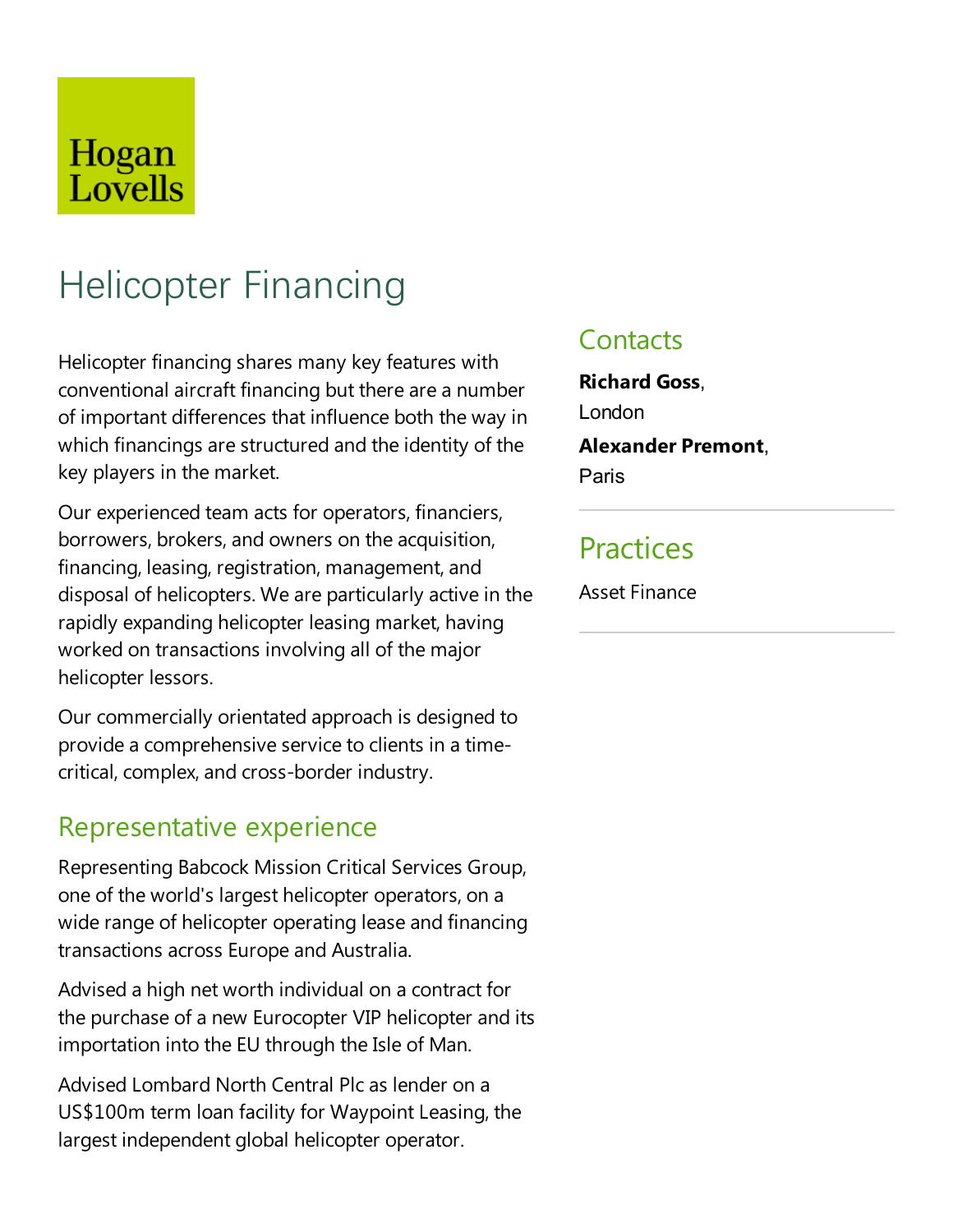## Hogan Lovells

# Helicopter Financing

Helicopter financing shares many key features with conventional aircraft financing but there are a number of important differences that influence both the way in which financings are structured and the identity of the key players in the market.

Our experienced team acts for operators, financiers, borrowers, brokers, and owners on the acquisition, financing, leasing, registration, management, and disposal of helicopters. We are particularly active in the rapidly expanding helicopter leasing market, having worked on transactions involving all of the major helicopter lessors.

Our commercially orientated approach is designed to provide a comprehensive service to clients in a timecritical, complex, and cross-border industry.

#### Representative experience

Representing Babcock Mission Critical Services Group, one of the world's largest helicopter operators, on a wide range of helicopter operating lease and financing transactions across Europe and Australia.

Advised a high net worth individual on a contract for the purchase of a new Eurocopter VIP helicopter and its importation into the EU through the Isle of Man.

Advised Lombard North Central Plc as lender on a US\$100m term loan facility for Waypoint Leasing, the largest independent global helicopter operator.

#### **Contacts**

**Richard Goss**, London **Alexander Premont**, Paris

### **Practices**

Asset Finance